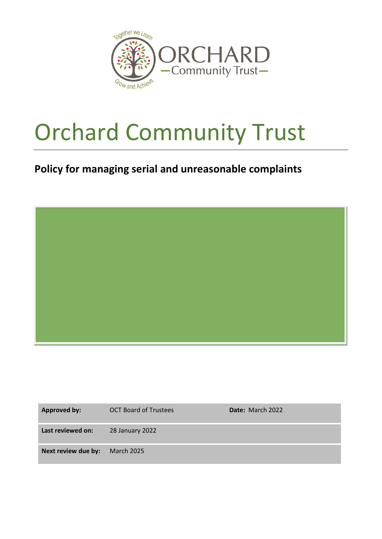

## Orchard Community Trust

## **Policy for managing serial and unreasonable complaints**

| <b>Approved by:</b> | <b>OCT Board of Trustees</b> | Date: March 2022 |
|---------------------|------------------------------|------------------|
| Last reviewed on:   | 28 January 2022              |                  |
| Next review due by: | <b>March 2025</b>            |                  |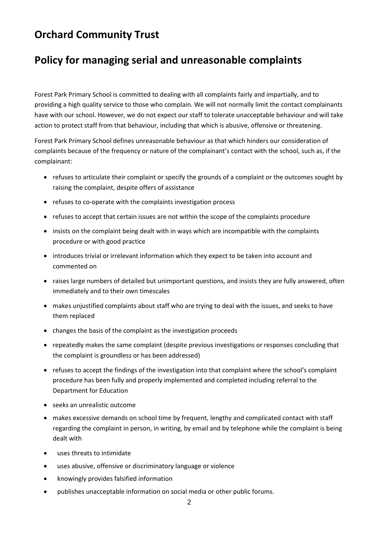## **Orchard Community Trust**

## **Policy for managing serial and unreasonable complaints**

Forest Park Primary School is committed to dealing with all complaints fairly and impartially, and to providing a high quality service to those who complain. We will not normally limit the contact complainants have with our school. However, we do not expect our staff to tolerate unacceptable behaviour and will take action to protect staff from that behaviour, including that which is abusive, offensive or threatening.

Forest Park Primary School defines unreasonable behaviour as that which hinders our consideration of complaints because of the frequency or nature of the complainant's contact with the school, such as, if the complainant:

- refuses to articulate their complaint or specify the grounds of a complaint or the outcomes sought by raising the complaint, despite offers of assistance
- refuses to co-operate with the complaints investigation process
- refuses to accept that certain issues are not within the scope of the complaints procedure
- insists on the complaint being dealt with in ways which are incompatible with the complaints procedure or with good practice
- introduces trivial or irrelevant information which they expect to be taken into account and commented on
- raises large numbers of detailed but unimportant questions, and insists they are fully answered, often immediately and to their own timescales
- makes unjustified complaints about staff who are trying to deal with the issues, and seeks to have them replaced
- changes the basis of the complaint as the investigation proceeds
- repeatedly makes the same complaint (despite previous investigations or responses concluding that the complaint is groundless or has been addressed)
- refuses to accept the findings of the investigation into that complaint where the school's complaint procedure has been fully and properly implemented and completed including referral to the Department for Education
- seeks an unrealistic outcome
- makes excessive demands on school time by frequent, lengthy and complicated contact with staff regarding the complaint in person, in writing, by email and by telephone while the complaint is being dealt with
- uses threats to intimidate
- uses abusive, offensive or discriminatory language or violence
- knowingly provides falsified information
- publishes unacceptable information on social media or other public forums.